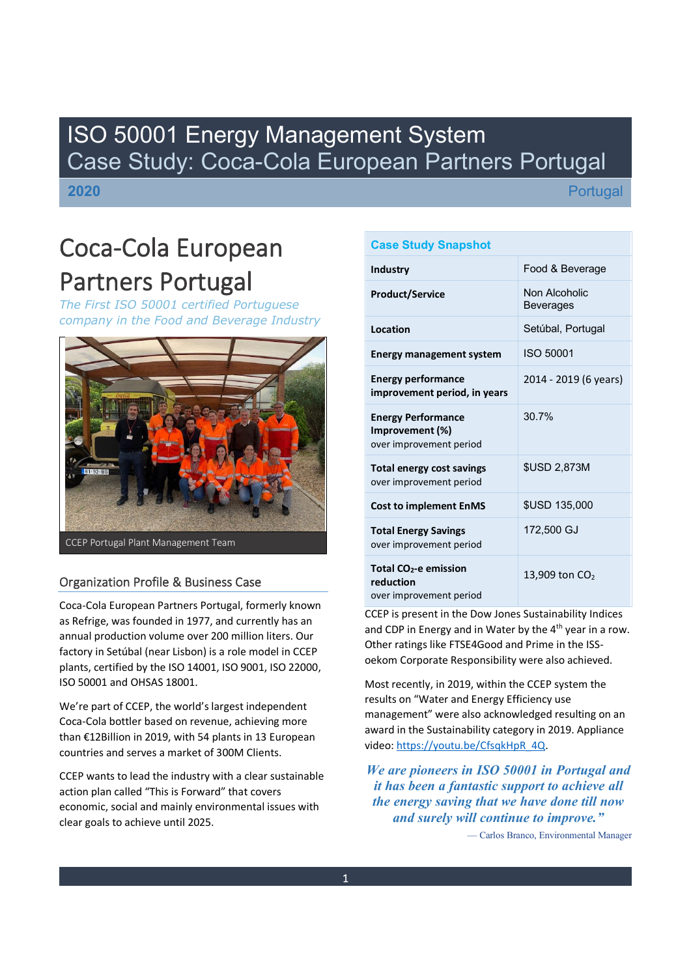## ISO 50001 Energy Management System Case Study: Coca-Cola European Partners Portugal

**2020**

**Portugal** 

# Coca-Cola European Partners Portugal

*The First ISO 50001 certified Portuguese company in the Food and Beverage Industry*



### Organization Profile & Business Case

Coca-Cola European Partners Portugal, formerly known as Refrige, was founded in 1977, and currently has an annual production volume over 200 million liters. Our factory in Setúbal (near Lisbon) is a role model in CCEP plants, certified by the ISO 14001, ISO 9001, ISO 22000, ISO 50001 and OHSAS 18001.

We're part of CCEP, the world's largest independent Coca-Cola bottler based on revenue, achieving more than €12Billion in 2019, with 54 plants in 13 European countries and serves a market of 300M Clients.

CCEP wants to lead the industry with a clear sustainable action plan called "This is Forward" that covers economic, social and mainly environmental issues with clear goals to achieve until 2025.

| <b>Case Study Snapshot</b>                                                |                                   |  |  |  |  |  |  |  |
|---------------------------------------------------------------------------|-----------------------------------|--|--|--|--|--|--|--|
| Industry                                                                  | Food & Beverage                   |  |  |  |  |  |  |  |
| <b>Product/Service</b>                                                    | Non Alcoholic<br><b>Beverages</b> |  |  |  |  |  |  |  |
| Location                                                                  | Setúbal, Portugal                 |  |  |  |  |  |  |  |
| <b>Energy management system</b>                                           | <b>ISO 50001</b>                  |  |  |  |  |  |  |  |
| <b>Energy performance</b><br>improvement period, in years                 | 2014 - 2019 (6 years)             |  |  |  |  |  |  |  |
| <b>Energy Performance</b><br>Improvement (%)<br>over improvement period   | 30.7%                             |  |  |  |  |  |  |  |
| <b>Total energy cost savings</b><br>over improvement period               | <b>\$USD 2,873M</b>               |  |  |  |  |  |  |  |
| <b>Cost to implement EnMS</b>                                             | <b>\$USD 135,000</b>              |  |  |  |  |  |  |  |
| <b>Total Energy Savings</b><br>over improvement period                    | 172,500 GJ                        |  |  |  |  |  |  |  |
| Total CO <sub>2</sub> -e emission<br>reduction<br>over improvement period | 13,909 ton $CO2$                  |  |  |  |  |  |  |  |

CCEP is present in the Dow Jones Sustainability Indices and CDP in Energy and in Water by the 4<sup>th</sup> year in a row. Other ratings like FTSE4Good and Prime in the ISSoekom Corporate Responsibility were also achieved.

Most recently, in 2019, within the CCEP system the results on "Water and Energy Efficiency use management" were also acknowledged resulting on an award in the Sustainability category in 2019. Appliance video: [https://youtu.be/CfsqkHpR\\_4Q.](https://youtu.be/CfsqkHpR_4Q)

*We are pioneers in ISO 50001 in Portugal and it has been a fantastic support to achieve all the energy saving that we have done till now and surely will continue to improve´*

— Carlos Branco, Environmental Manager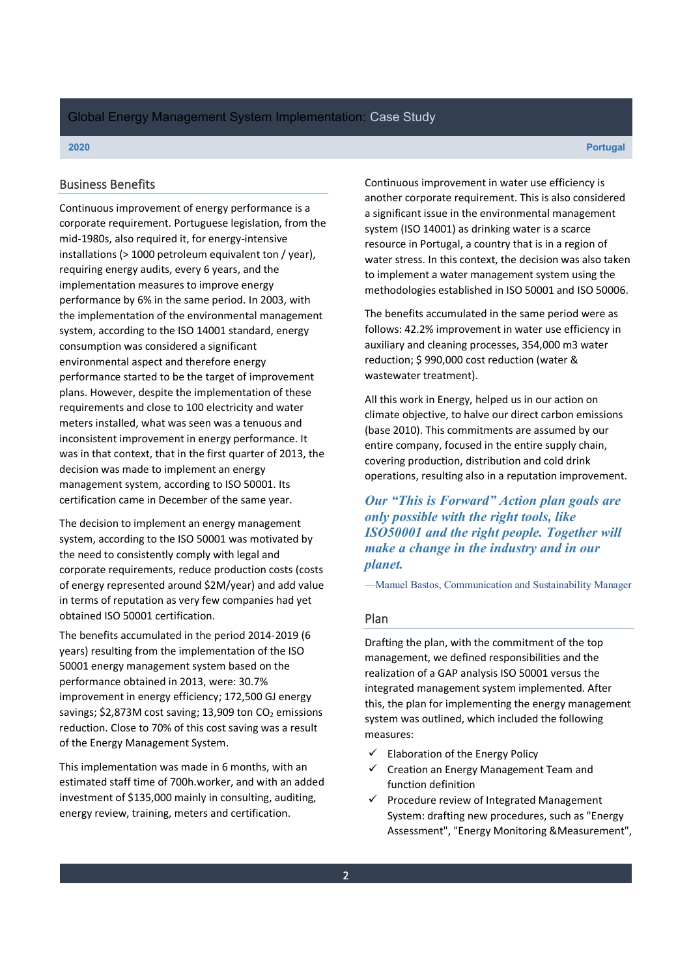#### Business Benefits

Continuous improvement of energy performance is a corporate requirement. Portuguese legislation, from the mid-1980s, also required it, for energy-intensive installations (> 1000 petroleum equivalent ton / year), requiring energy audits, every 6 years, and the implementation measures to improve energy performance by 6% in the same period. In 2003, with the implementation of the environmental management system, according to the ISO 14001 standard, energy consumption was considered a significant environmental aspect and therefore energy performance started to be the target of improvement plans. However, despite the implementation of these requirements and close to 100 electricity and water meters installed, what was seen was a tenuous and inconsistent improvement in energy performance. It was in that context, that in the first quarter of 2013, the decision was made to implement an energy management system, according to ISO 50001. Its certification came in December of the same year.

The decision to implement an energy management system, according to the ISO 50001 was motivated by the need to consistently comply with legal and corporate requirements, reduce production costs (costs of energy represented around \$2M/year) and add value in terms of reputation as very few companies had yet obtained ISO 50001 certification.

The benefits accumulated in the period 2014-2019 (6 years) resulting from the implementation of the ISO 50001 energy management system based on the performance obtained in 2013, were: 30.7% improvement in energy efficiency; 172,500 GJ energy savings;  $$2,873M$  cost saving; 13,909 ton  $CO<sub>2</sub>$  emissions reduction. Close to 70% of this cost saving was a result of the Energy Management System.

This implementation was made in 6 months, with an estimated staff time of 700h.worker, and with an added investment of \$135,000 mainly in consulting, auditing, energy review, training, meters and certification.

Continuous improvement in water use efficiency is another corporate requirement. This is also considered a significant issue in the environmental management system (ISO 14001) as drinking water is a scarce resource in Portugal, a country that is in a region of water stress. In this context, the decision was also taken to implement a water management system using the methodologies established in ISO 50001 and ISO 50006.

The benefits accumulated in the same period were as follows: 42.2% improvement in water use efficiency in auxiliary and cleaning processes, 354,000 m3 water reduction; \$ 990,000 cost reduction (water & wastewater treatment).

All this work in Energy, helped us in our action on climate objective, to halve our direct carbon emissions (base 2010). This commitments are assumed by our entire company, focused in the entire supply chain, covering production, distribution and cold drink operations, resulting also in a reputation improvement.

*Our* "This is Forward" Action plan goals are *only possible with the right tools, like ISO50001 and the right people. Together will make a change in the industry and in our planet.*

-Manuel Bastos, Communication and Sustainability Manager

#### Plan

Drafting the plan, with the commitment of the top management, we defined responsibilities and the realization of a GAP analysis ISO 50001 versus the integrated management system implemented. After this, the plan for implementing the energy management system was outlined, which included the following measures:

- $\checkmark$  Elaboration of the Energy Policy
- $\checkmark$  Creation an Energy Management Team and function definition
- $\checkmark$  Procedure review of Integrated Management System: drafting new procedures, such as "Energy Assessment", "Energy Monitoring &Measurement",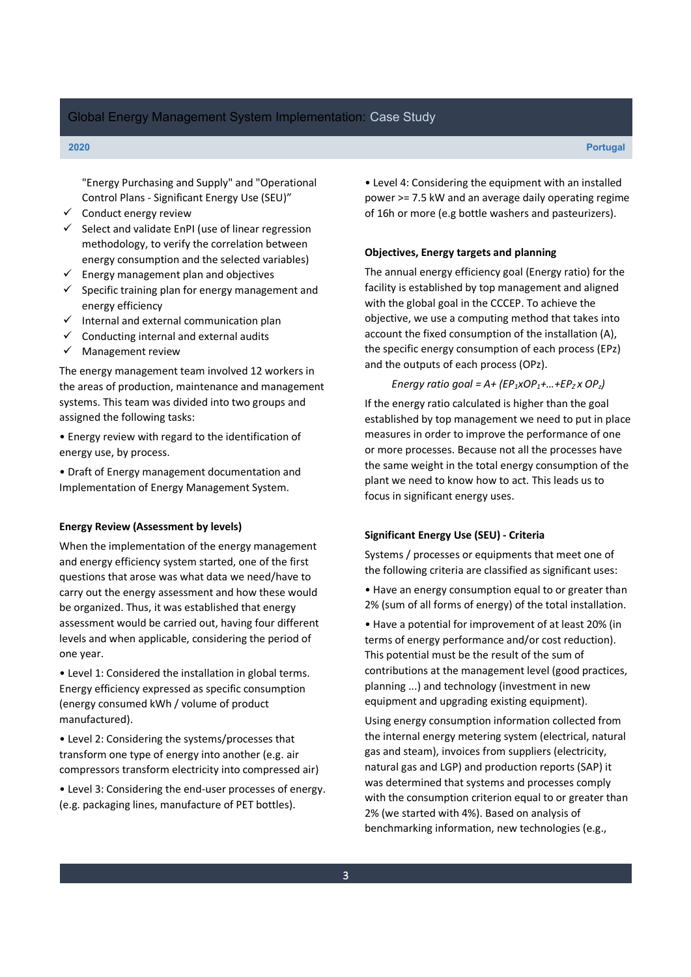"Energy Purchasing and Supply" and "Operational Control Plans - Significant Energy Use (SEU)<sup>n</sup>

- $\checkmark$  Conduct energy review
- $\checkmark$  Select and validate EnPI (use of linear regression methodology, to verify the correlation between energy consumption and the selected variables)
- $\checkmark$  Energy management plan and objectives
- $\checkmark$  Specific training plan for energy management and energy efficiency
- $\checkmark$  Internal and external communication plan
- $\checkmark$  Conducting internal and external audits
- $\checkmark$  Management review

The energy management team involved 12 workers in the areas of production, maintenance and management systems. This team was divided into two groups and assigned the following tasks:

• Energy review with regard to the identification of energy use, by process.

• Draft of Energy management documentation and Implementation of Energy Management System.

#### **Energy Review (Assessment by levels)**

When the implementation of the energy management and energy efficiency system started, one of the first questions that arose was what data we need/have to carry out the energy assessment and how these would be organized. Thus, it was established that energy assessment would be carried out, having four different levels and when applicable, considering the period of one year.

• Level 1: Considered the installation in global terms. Energy efficiency expressed as specific consumption (energy consumed kWh / volume of product manufactured).

• Level 2: Considering the systems/processes that transform one type of energy into another (e.g. air compressors transform electricity into compressed air)

• Level 3: Considering the end-user processes of energy. (e.g. packaging lines, manufacture of PET bottles).

• Level 4: Considering the equipment with an installed power >= 7.5 kW and an average daily operating regime of 16h or more (e.g bottle washers and pasteurizers).

#### **Objectives, Energy targets and planning**

The annual energy efficiency goal (Energy ratio) for the facility is established by top management and aligned with the global goal in the CCCEP. To achieve the objective, we use a computing method that takes into account the fixed consumption of the installation (A), the specific energy consumption of each process (EPz) and the outputs of each process (OPz).

#### *Energy ratio goal = A+ (EP<sub>1</sub>xOP<sub>1</sub>+...+EP<sub>Z</sub> x OP<sub>z</sub>)*

If the energy ratio calculated is higher than the goal established by top management we need to put in place measures in order to improve the performance of one or more processes. Because not all the processes have the same weight in the total energy consumption of the plant we need to know how to act. This leads us to focus in significant energy uses.

#### **Significant Energy Use (SEU) - Criteria**

Systems / processes or equipments that meet one of the following criteria are classified as significant uses:

• Have an energy consumption equal to or greater than 2% (sum of all forms of energy) of the total installation.

• Have a potential for improvement of at least 20% (in terms of energy performance and/or cost reduction). This potential must be the result of the sum of contributions at the management level (good practices, planning ...) and technology (investment in new equipment and upgrading existing equipment).

Using energy consumption information collected from the internal energy metering system (electrical, natural gas and steam), invoices from suppliers (electricity, natural gas and LGP) and production reports (SAP) it was determined that systems and processes comply with the consumption criterion equal to or greater than 2% (we started with 4%). Based on analysis of benchmarking information, new technologies (e.g.,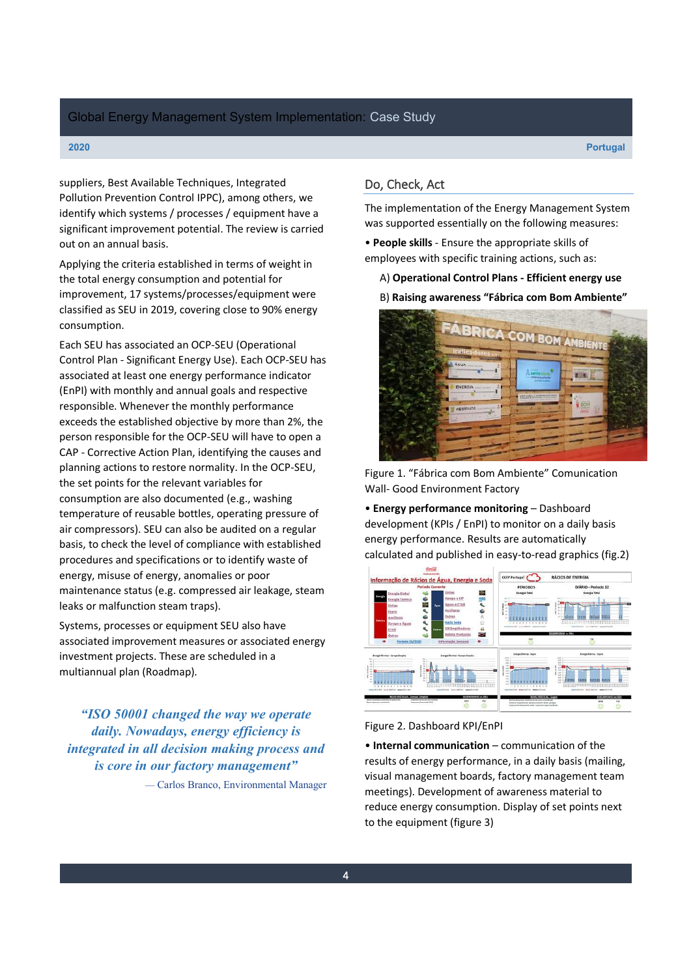### Global Energy Management System Implementation: Case Study

suppliers, Best Available Techniques, Integrated Pollution Prevention Control IPPC), among others, we identify which systems / processes / equipment have a significant improvement potential. The review is carried out on an annual basis.

Applying the criteria established in terms of weight in the total energy consumption and potential for improvement, 17 systems/processes/equipment were classified as SEU in 2019, covering close to 90% energy consumption.

Each SEU has associated an OCP-SEU (Operational Control Plan - Significant Energy Use). Each OCP-SEU has associated at least one energy performance indicator (EnPI) with monthly and annual goals and respective responsible. Whenever the monthly performance exceeds the established objective by more than 2%, the person responsible for the OCP-SEU will have to open a CAP - Corrective Action Plan, identifying the causes and planning actions to restore normality. In the OCP-SEU, the set points for the relevant variables for consumption are also documented (e.g., washing temperature of reusable bottles, operating pressure of air compressors). SEU can also be audited on a regular basis, to check the level of compliance with established procedures and specifications or to identify waste of energy, misuse of energy, anomalies or poor maintenance status (e.g. compressed air leakage, steam leaks or malfunction steam traps).

Systems, processes or equipment SEU also have associated improvement measures or associated energy investment projects. These are scheduled in a multiannual plan (Roadmap).

*³ISO 50001 changed the way we operate daily. Nowadays, energy efficiency is integrated in all decision making process and is core in our factory management´*

— Carlos Branco, Environmental Manager

### Do, Check, Act

The implementation of the Energy Management System was supported essentially on the following measures:

ͻ**People skills** - Ensure the appropriate skills of employees with specific training actions, such as:

A) **Operational Control Plans - Efficient energy use**

B) Raising awareness "Fábrica com Bom Ambiente"



Figure 1. "Fábrica com Bom Ambiente" Comunication Wall- Good Environment Factory

• Energy performance monitoring - Dashboard development (KPIs / EnPI) to monitor on a daily basis energy performance. Results are automatically calculated and published in easy-to-read graphics (fig.2)



#### Figure 2. Dashboard KPI/EnPI

**• Internal communication** – communication of the results of energy performance, in a daily basis (mailing, visual management boards, factory management team meetings). Development of awareness material to reduce energy consumption. Display of set points next to the equipment (figure 3)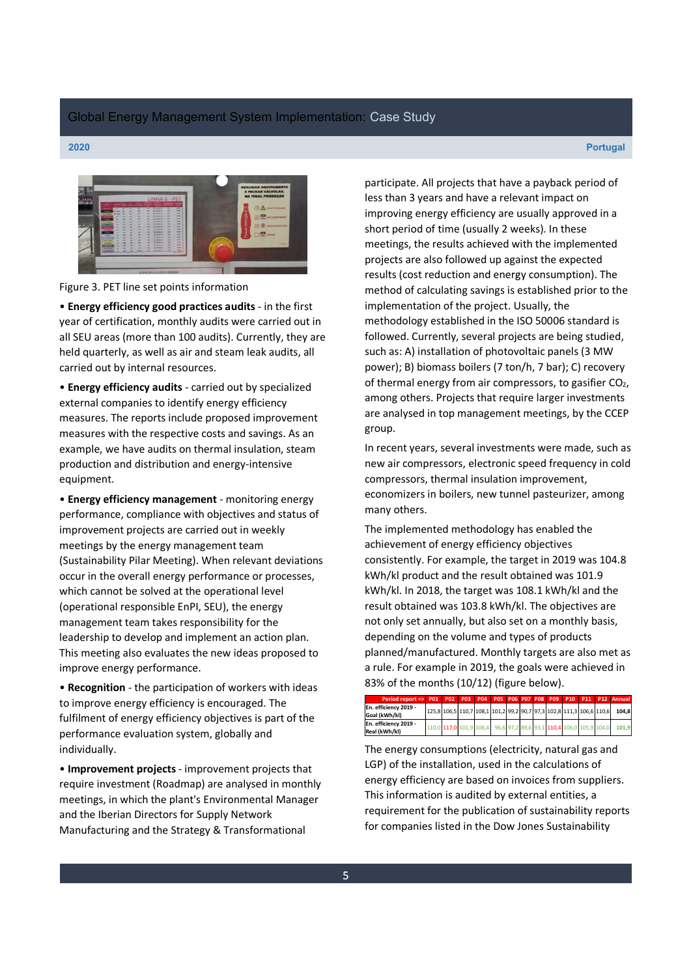

Figure 3. PET line set points information

ͻ **Energy efficiency good practices audits** - in the first year of certification, monthly audits were carried out in all SEU areas (more than 100 audits). Currently, they are held quarterly, as well as air and steam leak audits, all carried out by internal resources.

ͻ**Energy efficiency audits** - carried out by specialized external companies to identify energy efficiency measures. The reports include proposed improvement measures with the respective costs and savings. As an example, we have audits on thermal insulation, steam production and distribution and energy-intensive equipment.

**• Energy efficiency management** - monitoring energy performance, compliance with objectives and status of improvement projects are carried out in weekly meetings by the energy management team (Sustainability Pilar Meeting). When relevant deviations occur in the overall energy performance or processes, which cannot be solved at the operational level (operational responsible EnPI, SEU), the energy management team takes responsibility for the leadership to develop and implement an action plan. This meeting also evaluates the new ideas proposed to improve energy performance.

**• Recognition** - the participation of workers with ideas to improve energy efficiency is encouraged. The fulfilment of energy efficiency objectives is part of the performance evaluation system, globally and individually.

**• Improvement projects** - improvement projects that require investment (Roadmap) are analysed in monthly meetings, in which the plant's Environmental Manager and the Iberian Directors for Supply Network Manufacturing and the Strategy & Transformational

participate. All projects that have a payback period of less than 3 years and have a relevant impact on improving energy efficiency are usually approved in a short period of time (usually 2 weeks). In these meetings, the results achieved with the implemented projects are also followed up against the expected results (cost reduction and energy consumption). The method of calculating savings is established prior to the implementation of the project. Usually, the methodology established in the ISO 50006 standard is followed. Currently, several projects are being studied, such as: A) installation of photovoltaic panels (3 MW power); B) biomass boilers (7 ton/h, 7 bar); C) recovery of thermal energy from air compressors, to gasifier  $CO<sub>2</sub>$ , among others. Projects that require larger investments are analysed in top management meetings, by the CCEP group.

In recent years, several investments were made, such as new air compressors, electronic speed frequency in cold compressors, thermal insulation improvement, economizers in boilers, new tunnel pasteurizer, among many others.

The implemented methodology has enabled the achievement of energy efficiency objectives consistently. For example, the target in 2019 was 104.8 kWh/kl product and the result obtained was 101.9 kWh/kl. In 2018, the target was 108.1 kWh/kl and the result obtained was 103.8 kWh/kl. The objectives are not only set annually, but also set on a monthly basis, depending on the volume and types of products planned/manufactured. Monthly targets are also met as a rule. For example in 2019, the goals were achieved in 83% of the months (10/12) (figure below).

| Períod report => P01 P02 P03 P04 P05 P06 P07 P08 P09 P10 P11 P12 Annual |  |  |                                                                     |  |  |  |  |                                                                          |
|-------------------------------------------------------------------------|--|--|---------------------------------------------------------------------|--|--|--|--|--------------------------------------------------------------------------|
| En. efficiency 2019 -                                                   |  |  | 125.8 106.5 10.7 108.1 101.2 99.2 90.7 97.3 102.8 111.3 106.6 110.6 |  |  |  |  | 104.8                                                                    |
| Goal (kWh/kl)                                                           |  |  |                                                                     |  |  |  |  |                                                                          |
| En. efficiency 2019 -                                                   |  |  |                                                                     |  |  |  |  | 10.0 117.0 101.9 106.4 96.6 97.2 89.6 93.1 110.4 106.0 105.9 104.0 101.9 |
| Real (kWh/kl)                                                           |  |  |                                                                     |  |  |  |  |                                                                          |

The energy consumptions (electricity, natural gas and LGP) of the installation, used in the calculations of energy efficiency are based on invoices from suppliers. This information is audited by external entities, a requirement for the publication of sustainability reports for companies listed in the Dow Jones Sustainability